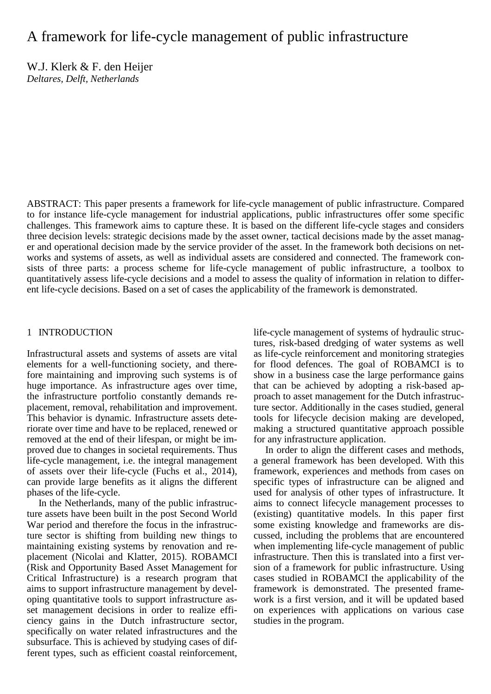# A framework for life-cycle management of public infrastructure

W.J. Klerk & F. den Heijer *Deltares, Delft, Netherlands*

ABSTRACT: This paper presents a framework for life-cycle management of public infrastructure. Compared to for instance life-cycle management for industrial applications, public infrastructures offer some specific challenges. This framework aims to capture these. It is based on the different life-cycle stages and considers three decision levels: strategic decisions made by the asset owner, tactical decisions made by the asset manager and operational decision made by the service provider of the asset. In the framework both decisions on networks and systems of assets, as well as individual assets are considered and connected. The framework consists of three parts: a process scheme for life-cycle management of public infrastructure, a toolbox to quantitatively assess life-cycle decisions and a model to assess the quality of information in relation to different life-cycle decisions. Based on a set of cases the applicability of the framework is demonstrated.

#### 1 INTRODUCTION

Infrastructural assets and systems of assets are vital elements for a well-functioning society, and therefore maintaining and improving such systems is of huge importance. As infrastructure ages over time, the infrastructure portfolio constantly demands replacement, removal, rehabilitation and improvement. This behavior is dynamic. Infrastructure assets deteriorate over time and have to be replaced, renewed or removed at the end of their lifespan, or might be improved due to changes in societal requirements. Thus life-cycle management, i.e. the integral management of assets over their life-cycle (Fuchs et al., 2014), can provide large benefits as it aligns the different phases of the life-cycle.

In the Netherlands, many of the public infrastructure assets have been built in the post Second World War period and therefore the focus in the infrastructure sector is shifting from building new things to maintaining existing systems by renovation and replacement (Nicolai and Klatter, 2015). ROBAMCI (Risk and Opportunity Based Asset Management for Critical Infrastructure) is a research program that aims to support infrastructure management by developing quantitative tools to support infrastructure asset management decisions in order to realize efficiency gains in the Dutch infrastructure sector, specifically on water related infrastructures and the subsurface. This is achieved by studying cases of different types, such as efficient coastal reinforcement,

life-cycle management of systems of hydraulic structures, risk-based dredging of water systems as well as life-cycle reinforcement and monitoring strategies for flood defences. The goal of ROBAMCI is to show in a business case the large performance gains that can be achieved by adopting a risk-based approach to asset management for the Dutch infrastructure sector. Additionally in the cases studied, general tools for lifecycle decision making are developed, making a structured quantitative approach possible for any infrastructure application.

In order to align the different cases and methods, a general framework has been developed. With this framework, experiences and methods from cases on specific types of infrastructure can be aligned and used for analysis of other types of infrastructure. It aims to connect lifecycle management processes to (existing) quantitative models. In this paper first some existing knowledge and frameworks are discussed, including the problems that are encountered when implementing life-cycle management of public infrastructure. Then this is translated into a first version of a framework for public infrastructure. Using cases studied in ROBAMCI the applicability of the framework is demonstrated. The presented framework is a first version, and it will be updated based on experiences with applications on various case studies in the program.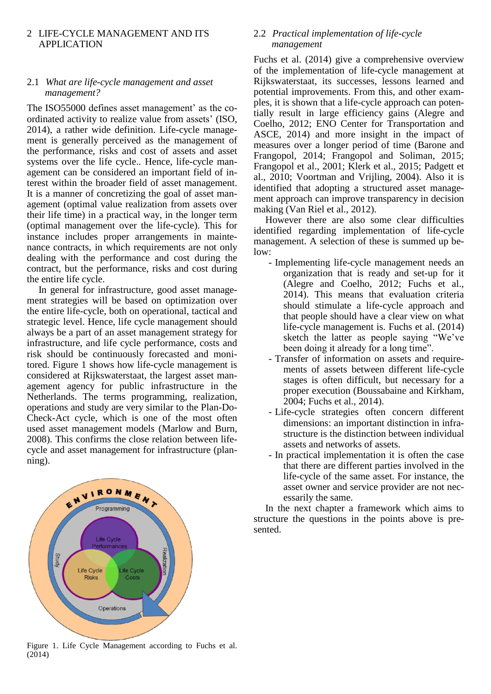## 2 LIFE-CYCLE MANAGEMENT AND ITS APPLICATION

## 2.1 *What are life-cycle management and asset management?*

The ISO55000 defines asset management' as the coordinated activity to realize value from assets' (ISO, 2014), a rather wide definition. Life-cycle management is generally perceived as the management of the performance, risks and cost of assets and asset systems over the life cycle.. Hence, life-cycle management can be considered an important field of interest within the broader field of asset management. It is a manner of concretizing the goal of asset management (optimal value realization from assets over their life time) in a practical way, in the longer term (optimal management over the life-cycle). This for instance includes proper arrangements in maintenance contracts, in which requirements are not only dealing with the performance and cost during the contract, but the performance, risks and cost during the entire life cycle.

In general for infrastructure, good asset management strategies will be based on optimization over the entire life-cycle, both on operational, tactical and strategic level. Hence, life cycle management should always be a part of an asset management strategy for infrastructure, and life cycle performance, costs and risk should be continuously forecasted and monitored. [Figure 1](#page-1-0) shows how life-cycle management is considered at Rijkswaterstaat, the largest asset management agency for public infrastructure in the Netherlands. The terms programming, realization, operations and study are very similar to the Plan-Do-Check-Act cycle, which is one of the most often used asset management models (Marlow and Burn, 2008). This confirms the close relation between lifecycle and asset management for infrastructure (planning).



<span id="page-1-0"></span>Figure 1. Life Cycle Management according to Fuchs et al. (2014)

## 2.2 *Practical implementation of life-cycle management*

Fuchs et al. (2014) give a comprehensive overview of the implementation of life-cycle management at Rijkswaterstaat, its successes, lessons learned and potential improvements. From this, and other examples, it is shown that a life-cycle approach can potentially result in large efficiency gains (Alegre and Coelho, 2012; ENO Center for Transportation and ASCE, 2014) and more insight in the impact of measures over a longer period of time (Barone and Frangopol, 2014; Frangopol and Soliman, 2015; Frangopol et al., 2001; Klerk et al., 2015; Padgett et al., 2010; Voortman and Vrijling, 2004). Also it is identified that adopting a structured asset management approach can improve transparency in decision making (Van Riel et al., 2012).

However there are also some clear difficulties identified regarding implementation of life-cycle management. A selection of these is summed up below:

- Implementing life-cycle management needs an organization that is ready and set-up for it (Alegre and Coelho, 2012; Fuchs et al., 2014). This means that evaluation criteria should stimulate a life-cycle approach and that people should have a clear view on what life-cycle management is. Fuchs et al. (2014) sketch the latter as people saying "We've been doing it already for a long time".
- Transfer of information on assets and requirements of assets between different life-cycle stages is often difficult, but necessary for a proper execution (Boussabaine and Kirkham, 2004; Fuchs et al., 2014).
- Life-cycle strategies often concern different dimensions: an important distinction in infrastructure is the distinction between individual assets and networks of assets.
- In practical implementation it is often the case that there are different parties involved in the life-cycle of the same asset. For instance, the asset owner and service provider are not necessarily the same.

In the next chapter a framework which aims to structure the questions in the points above is presented.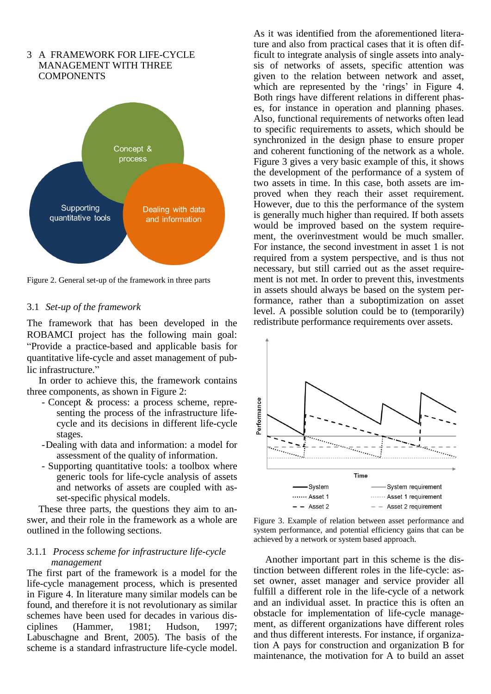

3 A FRAMEWORK FOR LIFE-CYCLE

<span id="page-2-0"></span>Figure 2. General set-up of the framework in three parts

#### 3.1 *Set-up of the framework*

The framework that has been developed in the ROBAMCI project has the following main goal: "Provide a practice-based and applicable basis for quantitative life-cycle and asset management of public infrastructure."

In order to achieve this, the framework contains three components, as shown in [Figure 2:](#page-2-0)

- Concept & process: a process scheme, representing the process of the infrastructure lifecycle and its decisions in different life-cycle stages.
- -Dealing with data and information: a model for assessment of the quality of information.
- Supporting quantitative tools: a toolbox where generic tools for life-cycle analysis of assets and networks of assets are coupled with asset-specific physical models.

These three parts, the questions they aim to answer, and their role in the framework as a whole are outlined in the following sections.

#### 3.1.1 *Process scheme for infrastructure life-cycle management*

The first part of the framework is a model for the life-cycle management process, which is presented in [Figure 4.](#page-3-0) In literature many similar models can be found, and therefore it is not revolutionary as similar schemes have been used for decades in various disciplines (Hammer, 1981; Hudson, 1997; Labuschagne and Brent, 2005). The basis of the scheme is a standard infrastructure life-cycle model. As it was identified from the aforementioned literature and also from practical cases that it is often difficult to integrate analysis of single assets into analysis of networks of assets, specific attention was given to the relation between network and asset, which are represented by the 'rings' in [Figure 4.](#page-3-0) Both rings have different relations in different phases, for instance in operation and planning phases. Also, functional requirements of networks often lead to specific requirements to assets, which should be synchronized in the design phase to ensure proper and coherent functioning of the network as a whole. [Figure 3](#page-2-1) gives a very basic example of this, it shows the development of the performance of a system of two assets in time. In this case, both assets are improved when they reach their asset requirement. However, due to this the performance of the system is generally much higher than required. If both assets would be improved based on the system requirement, the overinvestment would be much smaller. For instance, the second investment in asset 1 is not required from a system perspective, and is thus not necessary, but still carried out as the asset requirement is not met. In order to prevent this, investments in assets should always be based on the system performance, rather than a suboptimization on asset level. A possible solution could be to (temporarily) redistribute performance requirements over assets.



<span id="page-2-1"></span>Figure 3. Example of relation between asset performance and system performance, and potential efficiency gains that can be achieved by a network or system based approach.

Another important part in this scheme is the distinction between different roles in the life-cycle: asset owner, asset manager and service provider all fulfill a different role in the life-cycle of a network and an individual asset. In practice this is often an obstacle for implementation of life-cycle management, as different organizations have different roles and thus different interests. For instance, if organization A pays for construction and organization B for maintenance, the motivation for A to build an asset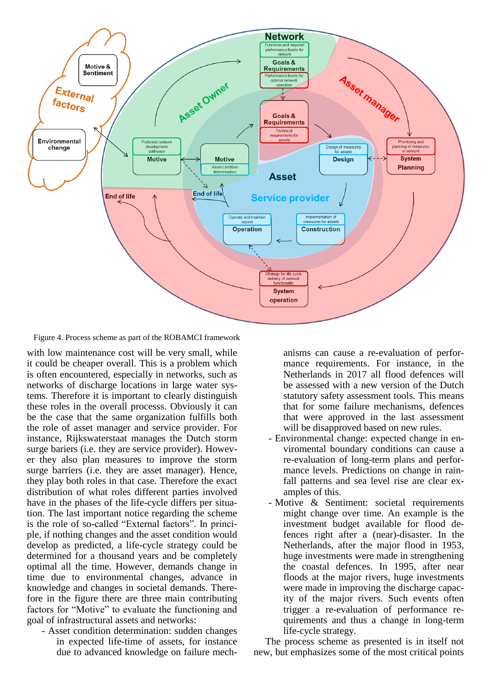

<span id="page-3-0"></span>Figure 4. Process scheme as part of the ROBAMCI framework

with low maintenance cost will be very small, while it could be cheaper overall. This is a problem which is often encountered, especially in networks, such as networks of discharge locations in large water systems. Therefore it is important to clearly distinguish these roles in the overall processs. Obviously it can be the case that the same organization fulfills both the role of asset manager and service provider. For instance, Rijkswaterstaat manages the Dutch storm surge bariers (i.e. they are service provider). However they also plan measures to improve the storm surge barriers (i.e. they are asset manager). Hence, they play both roles in that case. Therefore the exact distribution of what roles different parties involved have in the phases of the life-cycle differs per situation. The last important notice regarding the scheme is the role of so-called "External factors". In principle, if nothing changes and the asset condition would develop as predicted, a life-cycle strategy could be determined for a thousand years and be completely optimal all the time. However, demands change in time due to environmental changes, advance in knowledge and changes in societal demands. Therefore in the figure there are three main contributing factors for "Motive" to evaluate the functioning and goal of infrastructural assets and networks:

- Asset condition determination: sudden changes in expected life-time of assets, for instance due to advanced knowledge on failure mechanisms can cause a re-evaluation of performance requirements. For instance, in the Netherlands in 2017 all flood defences will be assessed with a new version of the Dutch statutory safety assessment tools. This means that for some failure mechanisms, defences that were approved in the last assessment will be disapproved based on new rules.

- Environmental change: expected change in enviromental boundary conditions can cause a re-evaluation of long-term plans and performance levels. Predictions on change in rainfall patterns and sea level rise are clear examples of this.
- Motive & Sentiment: societal requirements might change over time. An example is the investment budget available for flood defences right after a (near)-disaster. In the Netherlands, after the major flood in 1953, huge investments were made in strengthening the coastal defences. In 1995, after near floods at the major rivers, huge investments were made in improving the discharge capacity of the major rivers. Such events often trigger a re-evaluation of performance requirements and thus a change in long-term life-cycle strategy.

The process scheme as presented is in itself not new, but emphasizes some of the most critical points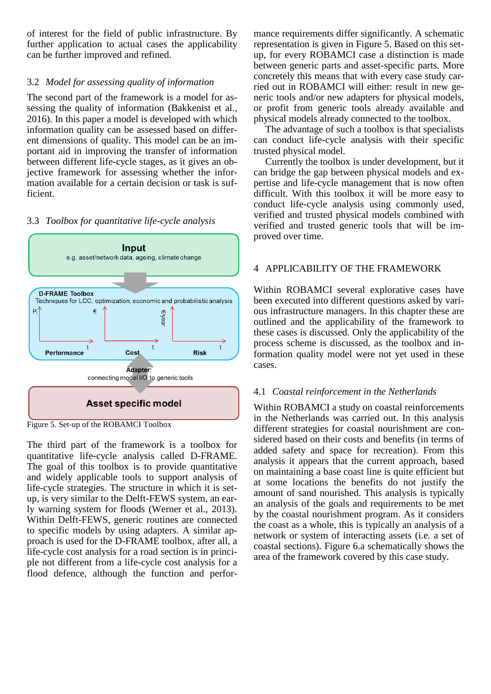of interest for the field of public infrastructure. By further application to actual cases the applicability can be further improved and refined.

## 3.2 *Model for assessing quality of information*

The second part of the framework is a model for assessing the quality of information (Bakkenist et al., 2016). In this paper a model is developed with which information quality can be assessed based on different dimensions of quality. This model can be an important aid in improving the transfer of information between different life-cycle stages, as it gives an objective framework for assessing whether the information available for a certain decision or task is sufficient.

# 3.3 *Toolbox for quantitative life-cycle analysis*



<span id="page-4-0"></span>Figure 5. Set-up of the ROBAMCI Toolbox

The third part of the framework is a toolbox for quantitative life-cycle analysis called D-FRAME. The goal of this toolbox is to provide quantitative and widely applicable tools to support analysis of life-cycle strategies. The structure in which it is setup, is very similar to the Delft-FEWS system, an early warning system for floods (Werner et al., 2013). Within Delft-FEWS, generic routines are connected to specific models by using adapters. A similar approach is used for the D-FRAME toolbox, after all, a life-cycle cost analysis for a road section is in principle not different from a life-cycle cost analysis for a flood defence, although the function and performance requirements differ significantly. A schematic representation is given in [Figure 5.](#page-4-0) Based on this setup, for every ROBAMCI case a distinction is made between generic parts and asset-specific parts. More concretely this means that with every case study carried out in ROBAMCI will either: result in new generic tools and/or new adapters for physical models, or profit from generic tools already available and physical models already connected to the toolbox.

The advantage of such a toolbox is that specialists can conduct life-cycle analysis with their specific trusted physical model.

Currently the toolbox is under development, but it can bridge the gap between physical models and expertise and life-cycle management that is now often difficult. With this toolbox it will be more easy to conduct life-cycle analysis using commonly used, verified and trusted physical models combined with verified and trusted generic tools that will be improved over time.

# 4 APPLICABILITY OF THE FRAMEWORK

Within ROBAMCI several explorative cases have been executed into different questions asked by various infrastructure managers. In this chapter these are outlined and the applicability of the framework to these cases is discussed. Only the applicability of the process scheme is discussed, as the toolbox and information quality model were not yet used in these cases.

# 4.1 *Coastal reinforcement in the Netherlands*

Within ROBAMCI a study on coastal reinforcements in the Netherlands was carried out. In this analysis different strategies for coastal nourishment are considered based on their costs and benefits (in terms of added safety and space for recreation). From this analysis it appears that the current approach, based on maintaining a base coast line is quite efficient but at some locations the benefits do not justify the amount of sand nourished. This analysis is typically an analysis of the goals and requirements to be met by the coastal nourishment program. As it considers the coast as a whole, this is typically an analysis of a network or system of interacting assets (i.e. a set of coastal sections). [Figure 6.](#page-5-0)a schematically shows the area of the framework covered by this case study.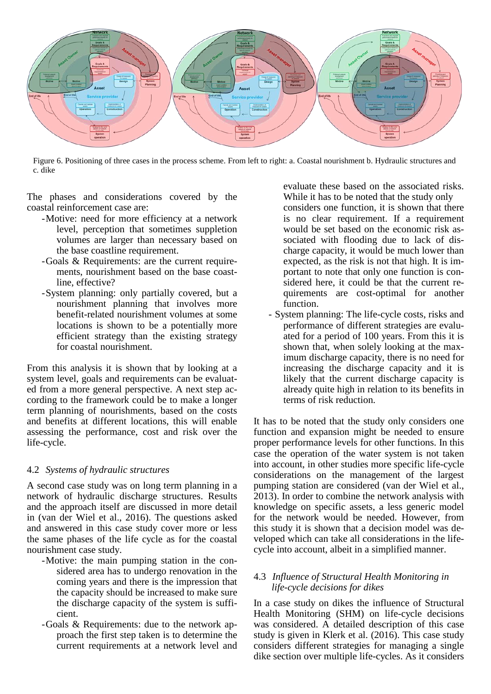

<span id="page-5-0"></span>Figure 6. Positioning of three cases in the process scheme. From left to right: a. Coastal nourishment b. Hydraulic structures and c. dike

The phases and considerations covered by the coastal reinforcement case are:

- -Motive: need for more efficiency at a network level, perception that sometimes suppletion volumes are larger than necessary based on the base coastline requirement.
- -Goals & Requirements: are the current requirements, nourishment based on the base coastline, effective?
- -System planning: only partially covered, but a nourishment planning that involves more benefit-related nourishment volumes at some locations is shown to be a potentially more efficient strategy than the existing strategy for coastal nourishment.

From this analysis it is shown that by looking at a system level, goals and requirements can be evaluated from a more general perspective. A next step according to the framework could be to make a longer term planning of nourishments, based on the costs and benefits at different locations, this will enable assessing the performance, cost and risk over the life-cycle.

#### 4.2 *Systems of hydraulic structures*

A second case study was on long term planning in a network of hydraulic discharge structures. Results and the approach itself are discussed in more detail in (van der Wiel et al., 2016). The questions asked and answered in this case study cover more or less the same phases of the life cycle as for the coastal nourishment case study.

- -Motive: the main pumping station in the considered area has to undergo renovation in the coming years and there is the impression that the capacity should be increased to make sure the discharge capacity of the system is sufficient.
- -Goals & Requirements: due to the network approach the first step taken is to determine the current requirements at a network level and

evaluate these based on the associated risks. While it has to be noted that the study only

considers one function, it is shown that there is no clear requirement. If a requirement would be set based on the economic risk associated with flooding due to lack of discharge capacity, it would be much lower than expected, as the risk is not that high. It is important to note that only one function is considered here, it could be that the current requirements are cost-optimal for another function.

- System planning: The life-cycle costs, risks and performance of different strategies are evaluated for a period of 100 years. From this it is shown that, when solely looking at the maximum discharge capacity, there is no need for increasing the discharge capacity and it is likely that the current discharge capacity is already quite high in relation to its benefits in terms of risk reduction.

It has to be noted that the study only considers one function and expansion might be needed to ensure proper performance levels for other functions. In this case the operation of the water system is not taken into account, in other studies more specific life-cycle considerations on the management of the largest pumping station are considered (van der Wiel et al., 2013). In order to combine the network analysis with knowledge on specific assets, a less generic model for the network would be needed. However, from this study it is shown that a decision model was developed which can take all considerations in the lifecycle into account, albeit in a simplified manner.

#### 4.3 *Influence of Structural Health Monitoring in life-cycle decisions for dikes*

In a case study on dikes the influence of Structural Health Monitoring (SHM) on life-cycle decisions was considered. A detailed description of this case study is given in Klerk et al. (2016). This case study considers different strategies for managing a single dike section over multiple life-cycles. As it considers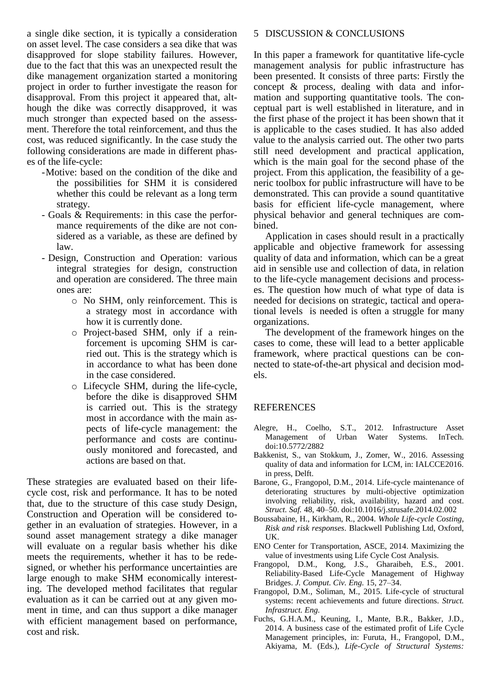a single dike section, it is typically a consideration on asset level. The case considers a sea dike that was disapproved for slope stability failures. However, due to the fact that this was an unexpected result the dike management organization started a monitoring project in order to further investigate the reason for disapproval. From this project it appeared that, although the dike was correctly disapproved, it was much stronger than expected based on the assessment. Therefore the total reinforcement, and thus the cost, was reduced significantly. In the case study the following considerations are made in different phases of the life-cycle:

- -Motive: based on the condition of the dike and the possibilities for SHM it is considered whether this could be relevant as a long term strategy.
- Goals & Requirements: in this case the performance requirements of the dike are not considered as a variable, as these are defined by law.
- Design, Construction and Operation: various integral strategies for design, construction and operation are considered. The three main ones are:
	- o No SHM, only reinforcement. This is a strategy most in accordance with how it is currently done.
	- o Project-based SHM, only if a reinforcement is upcoming SHM is carried out. This is the strategy which is in accordance to what has been done in the case considered.
	- o Lifecycle SHM, during the life-cycle, before the dike is disapproved SHM is carried out. This is the strategy most in accordance with the main aspects of life-cycle management: the performance and costs are continuously monitored and forecasted, and actions are based on that.

These strategies are evaluated based on their lifecycle cost, risk and performance. It has to be noted that, due to the structure of this case study Design, Construction and Operation will be considered together in an evaluation of strategies. However, in a sound asset management strategy a dike manager will evaluate on a regular basis whether his dike meets the requirements, whether it has to be redesigned, or whether his performance uncertainties are large enough to make SHM economically interesting. The developed method facilitates that regular evaluation as it can be carried out at any given moment in time, and can thus support a dike manager with efficient management based on performance, cost and risk.

#### 5 DISCUSSION & CONCLUSIONS

In this paper a framework for quantitative life-cycle management analysis for public infrastructure has been presented. It consists of three parts: Firstly the concept & process, dealing with data and information and supporting quantitative tools. The conceptual part is well established in literature, and in the first phase of the project it has been shown that it is applicable to the cases studied. It has also added value to the analysis carried out. The other two parts still need development and practical application, which is the main goal for the second phase of the project. From this application, the feasibility of a generic toolbox for public infrastructure will have to be demonstrated. This can provide a sound quantitative basis for efficient life-cycle management, where physical behavior and general techniques are combined.

Application in cases should result in a practically applicable and objective framework for assessing quality of data and information, which can be a great aid in sensible use and collection of data, in relation to the life-cycle management decisions and processes. The question how much of what type of data is needed for decisions on strategic, tactical and operational levels is needed is often a struggle for many organizations.

The development of the framework hinges on the cases to come, these will lead to a better applicable framework, where practical questions can be connected to state-of-the-art physical and decision models.

#### REFERENCES

- Alegre, H., Coelho, S.T., 2012. Infrastructure Asset Management of Urban Water Systems. InTech. doi:10.5772/2882
- Bakkenist, S., van Stokkum, J., Zomer, W., 2016. Assessing quality of data and information for LCM, in: IALCCE2016. in press, Delft.
- Barone, G., Frangopol, D.M., 2014. Life-cycle maintenance of deteriorating structures by multi-objective optimization involving reliability, risk, availability, hazard and cost. *Struct. Saf.* 48, 40–50. doi:10.1016/j.strusafe.2014.02.002
- Boussabaine, H., Kirkham, R., 2004. *Whole Life-cycle Costing, Risk and risk responses*. Blackwell Publishing Ltd, Oxford, UK.
- ENO Center for Transportation, ASCE, 2014. Maximizing the value of investments using Life Cycle Cost Analysis.
- Frangopol, D.M., Kong, J.S., Gharaibeh, E.S., 2001. Reliability-Based Life-Cycle Management of Highway Bridges. *J. Comput. Civ. Eng.* 15, 27–34.
- Frangopol, D.M., Soliman, M., 2015. Life-cycle of structural systems: recent achievements and future directions. *Struct. Infrastruct. Eng.*
- Fuchs, G.H.A.M., Keuning, I., Mante, B.R., Bakker, J.D., 2014. A business case of the estimated profit of Life Cycle Management principles, in: Furuta, H., Frangopol, D.M., Akiyama, M. (Eds.), *Life-Cycle of Structural Systems:*